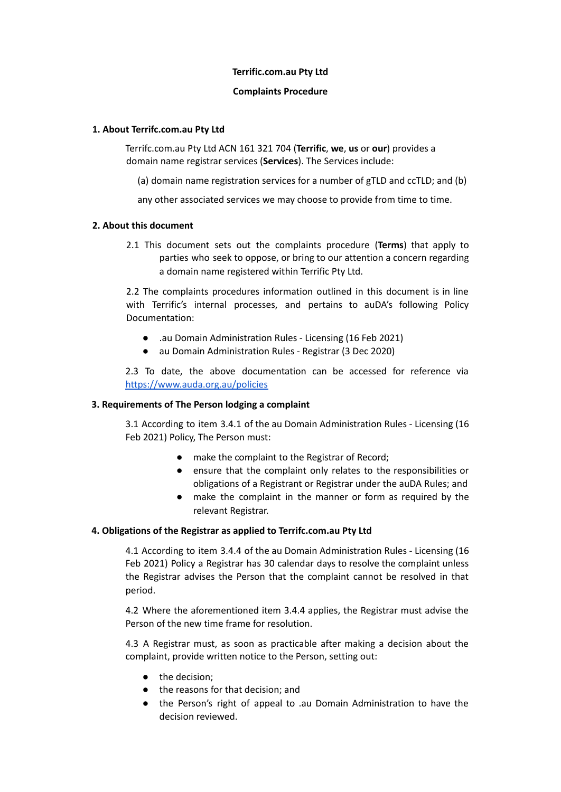#### **Terrific.com.au Pty Ltd**

#### **Complaints Procedure**

## **1. About Terrifc.com.au Pty Ltd**

Terrifc.com.au Pty Ltd ACN 161 321 704 (**Terrific**, **we**, **us** or **our**) provides a domain name registrar services (**Services**). The Services include:

(a) domain name registration services for a number of gTLD and ccTLD; and (b)

any other associated services we may choose to provide from time to time.

## **2. About this document**

2.1 This document sets out the complaints procedure (**Terms**) that apply to parties who seek to oppose, or bring to our attention a concern regarding a domain name registered within Terrific Pty Ltd.

2.2 The complaints procedures information outlined in this document is in line with Terrific's internal processes, and pertains to auDA's following Policy Documentation:

- .au Domain Administration Rules Licensing (16 Feb 2021)
- au Domain Administration Rules Registrar (3 Dec 2020)

2.3 To date, the above documentation can be accessed for reference via <https://www.auda.org.au/policies>

## **3. Requirements of The Person lodging a complaint**

3.1 According to item 3.4.1 of the au Domain Administration Rules - Licensing (16 Feb 2021) Policy, The Person must:

- make the complaint to the Registrar of Record;
- ensure that the complaint only relates to the responsibilities or obligations of a Registrant or Registrar under the auDA Rules; and
- make the complaint in the manner or form as required by the relevant Registrar.

## **4. Obligations of the Registrar as applied to Terrifc.com.au Pty Ltd**

4.1 According to item 3.4.4 of the au Domain Administration Rules - Licensing (16 Feb 2021) Policy a Registrar has 30 calendar days to resolve the complaint unless the Registrar advises the Person that the complaint cannot be resolved in that period.

4.2 Where the aforementioned item 3.4.4 applies, the Registrar must advise the Person of the new time frame for resolution.

4.3 A Registrar must, as soon as practicable after making a decision about the complaint, provide written notice to the Person, setting out:

- the decision;
- the reasons for that decision; and
- the Person's right of appeal to .au Domain Administration to have the decision reviewed.